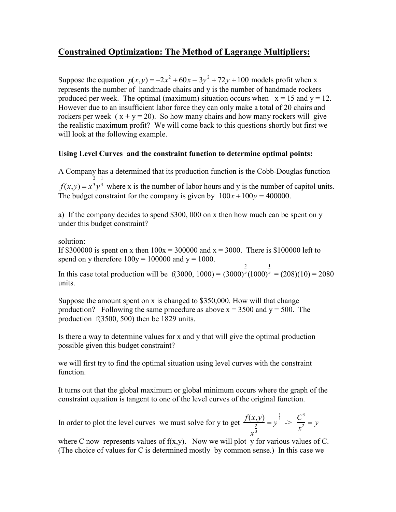# **Constrained Optimization: The Method of Lagrange Multipliers:**

Suppose the equation  $p(x,y) = -2x^2 + 60x - 3y^2 + 72y + 100$  models profit when x represents the number of handmade chairs and y is the number of handmade rockers produced per week. The optimal (maximum) situation occurs when  $x = 15$  and  $y = 12$ . However due to an insufficient labor force they can only make a total of 20 chairs and rockers per week  $(x + y = 20)$ . So how many chairs and how many rockers will give the realistic maximum profit? We will come back to this questions shortly but first we will look at the following example.

# **Using Level Curves and the constraint function to determine optimal points:**

A Company has a determined that its production function is the Cobb-Douglas function  $f(x,y) = x$ 2 3 *y* 1 <sup>3</sup> where x is the number of labor hours and y is the number of capitol units. The budget constraint for the company is given by  $100x + 100y = 400000$ .

a) If the company decides to spend \$300, 000 on x then how much can be spent on y under this budget constraint?

solution:

If \$300000 is spent on x then  $100x = 300000$  and  $x = 3000$ . There is \$100000 left to spend on y therefore  $100y = 100000$  and  $y = 1000$ .

In this case total production will be  $f(3000, 1000) = (3000)$ 2  $3(1000)$ 1  $3 = (208)(10) = 2080$ units.

Suppose the amount spent on x is changed to \$350,000. How will that change production? Following the same procedure as above  $x = 3500$  and  $y = 500$ . The production f(3500, 500) then be 1829 units.

Is there a way to determine values for x and y that will give the optimal production possible given this budget constraint?

we will first try to find the optimal situation using level curves with the constraint function.

It turns out that the global maximum or global minimum occurs where the graph of the constraint equation is tangent to one of the level curves of the original function.

In order to plot the level curves we must solve for y to get  $\frac{f(x,y)}{y}$ *x* 2 3  $= y$  $\frac{1}{3}$   $\Rightarrow$ *C* 3  $\frac{y}{x^2} = y$ 

where C now represents values of  $f(x,y)$ . Now we will plot y for various values of C. (The choice of values for C is determined mostly by common sense.) In this case we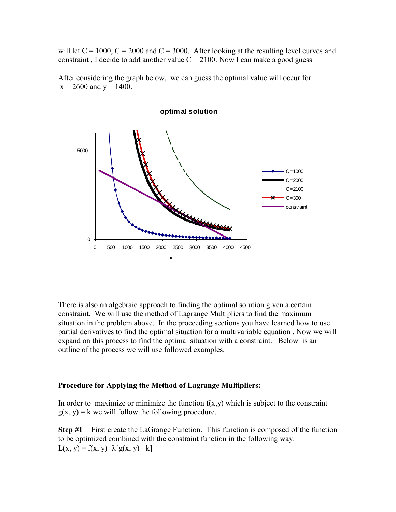will let  $C = 1000$ ,  $C = 2000$  and  $C = 3000$ . After looking at the resulting level curves and constraint, I decide to add another value  $C = 2100$ . Now I can make a good guess



After considering the graph below, we can guess the optimal value will occur for  $x = 2600$  and  $y = 1400$ .

There is also an algebraic approach to finding the optimal solution given a certain constraint. We will use the method of Lagrange Multipliers to find the maximum situation in the problem above. In the proceeding sections you have learned how to use partial derivatives to find the optimal situation for a multivariable equation . Now we will expand on this process to find the optimal situation with a constraint. Below is an outline of the process we will use followed examples.

### **Procedure for Applying the Method of Lagrange Multipliers:**

In order to maximize or minimize the function  $f(x,y)$  which is subject to the constraint  $g(x, y) = k$  we will follow the following procedure.

**Step #1** First create the LaGrange Function. This function is composed of the function to be optimized combined with the constraint function in the following way:  $L(x, y) = f(x, y) - \lambda [g(x, y) - k]$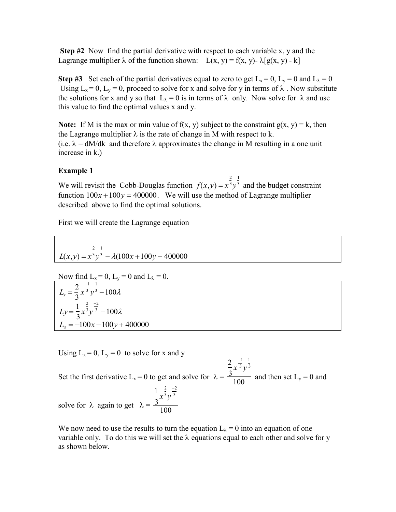**Step #2** Now find the partial derivative with respect to each variable x, y and the Lagrange multiplier  $\lambda$  of the function shown:  $L(x, y) = f(x, y) - \lambda[g(x, y) - k]$ 

**Step #3** Set each of the partial derivatives equal to zero to get  $L_x = 0$ ,  $L_y = 0$  and  $L_\lambda = 0$ Using  $L_x = 0$ ,  $L_y = 0$ , proceed to solve for x and solve for y in terms of  $\lambda$ . Now substitute the solutions for x and y so that  $L_{\lambda} = 0$  is in terms of  $\lambda$  only. Now solve for  $\lambda$  and use this value to find the optimal values x and y.

**Note:** If M is the max or min value of  $f(x, y)$  subject to the constraint  $g(x, y) = k$ , then the Lagrange multiplier  $\lambda$  is the rate of change in M with respect to k. (i.e.  $\lambda = dM/dk$  and therefore  $\lambda$  approximates the change in M resulting in a one unit increase in k.)

### **Example 1**

We will revisit the Cobb-Douglas function  $f(x, y) = x$ 2 3 *y* 1 <sup>3</sup> and the budget constraint function  $100x + 100y = 400000$ . We will use the method of Lagrange multiplier described above to find the optimal solutions.

First we will create the Lagrange equation

$$
L(x,y) = x^{\frac{2}{3}}y^{\frac{1}{3}} - \lambda(100x + 100y - 400000)
$$

Now find L<sub>x</sub> = 0, L<sub>y</sub> = 0 and L<sub>λ</sub> = 0.  
\nL<sub>x</sub> = 
$$
\frac{2}{3}x^{\frac{-1}{3}}y^{\frac{1}{3}} - 100\lambda
$$
  
\nL<sub>y</sub> =  $\frac{1}{3}x^{\frac{2}{3}}y^{\frac{-2}{3}} - 100\lambda$   
\nL<sub>λ</sub> = -100x - 100y + 400000

Using  $L_x = 0$ ,  $L_y = 0$  to solve for x and y

Set the first derivative L<sub>x</sub> = 0 to get and solve for  $\lambda$  = 2 3 *x* 1 3 *y* 1 3  $\overline{100}$  and then set L<sub>y</sub> = 0 and solve for  $\lambda$  again to get  $\lambda =$ 1 3 *x* 2 3 *y*  $-2$ 3 100

We now need to use the results to turn the equation  $L_{\lambda} = 0$  into an equation of one variable only. To do this we will set the  $\lambda$  equations equal to each other and solve for y as shown below.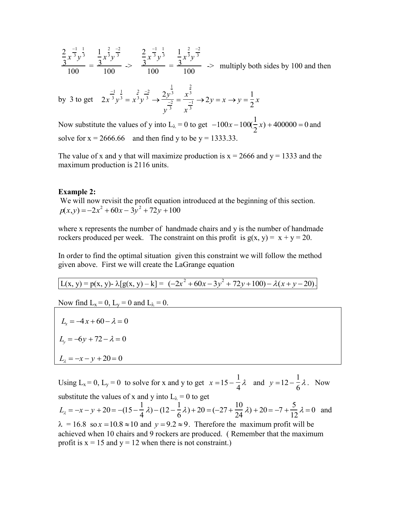$$
\frac{\frac{2}{3}x^{\frac{-1}{3}}y^{\frac{1}{3}}}{100} = \frac{\frac{1}{3}x^{\frac{2}{3}}y^{\frac{-2}{3}}}{100} \implies \frac{\frac{2}{3}x^{\frac{-1}{3}}y^{\frac{1}{3}}}{100} = \frac{\frac{1}{3}x^{\frac{2}{3}}y^{\frac{-2}{3}}}{100} \implies \text{multiply both sides by 100 and then}
$$

by 3 to get 
$$
2x^{\frac{-1}{3}}y^{\frac{1}{3}} = x^{\frac{2}{3}}y^{\frac{-2}{3}} \rightarrow \frac{2y^{\frac{1}{3}}}{y^{\frac{-2}{3}}} = \frac{x^{\frac{2}{3}}}{x^{\frac{-1}{3}}} \rightarrow 2y = x \rightarrow y = \frac{1}{2}x
$$

Now substitute the values of y into  $L_{\lambda} = 0$  to get  $-100x - 100(\frac{1}{2})$ 2  $x) + 400000 = 0$  and solve for  $x = 2666.66$  and then find y to be  $y = 1333.33$ .

The value of x and y that will maximize production is  $x = 2666$  and  $y = 1333$  and the maximum production is 2116 units.

#### **Example 2:**

We will now revisit the profit equation introduced at the beginning of this section.  $p(x,y) = -2x^2 + 60x - 3y^2 + 72y + 100$ 

where x represents the number of handmade chairs and y is the number of handmade rockers produced per week. The constraint on this profit is  $g(x, y) = x + y = 20$ .

In order to find the optimal situation given this constraint we will follow the method given above. First we will create the LaGrange equation

$$
L(x, y) = p(x, y) - \lambda [g(x, y) - k] = (-2x^2 + 60x - 3y^2 + 72y + 100) - \lambda (x + y - 20).
$$

Now find  $L_x = 0$ ,  $L_y = 0$  and  $L_\lambda = 0$ .

$$
L_x = -4x + 60 - \lambda = 0
$$
  
\n
$$
L_y = -6y + 72 - \lambda = 0
$$
  
\n
$$
L_\lambda = -x - y + 20 = 0
$$

Using  $L_x = 0$ ,  $L_y = 0$  to solve for x and y to get  $x = 15 - \frac{1}{4}$  $\frac{1}{4} \lambda$  and  $y=12-\frac{1}{6}$  $\frac{1}{6}\lambda$ . Now substitute the values of x and y into  $L_{\lambda} = 0$  to get  $L_{\lambda} = -x - y + 20 = -(15 - \frac{1}{4})$  $\frac{1}{4} \lambda$ ) – (12 –  $\frac{1}{6}$  $\frac{1}{6}\lambda$ ) + 20 = (-27 +  $\frac{10}{24}\lambda$ ) + 20 = -7 +  $\frac{5}{12}\lambda$  = 0 and  $\lambda = 16.8$  so  $x = 10.8 \approx 10$  and  $y = 9.2 \approx 9$ . Therefore the maximum profit will be achieved when 10 chairs and 9 rockers are produced. ( Remember that the maximum profit is  $x = 15$  and  $y = 12$  when there is not constraint.)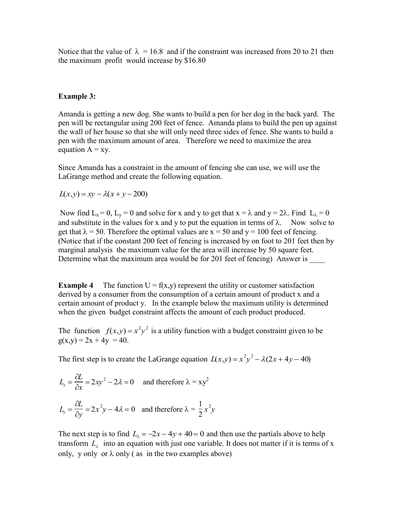Notice that the value of  $\lambda = 16.8$  and if the constraint was increased from 20 to 21 then the maximum profit would increase by \$16.80

#### **Example 3:**

Amanda is getting a new dog. She wants to build a pen for her dog in the back yard. The pen will be rectangular using 200 feet of fence. Amanda plans to build the pen up against the wall of her house so that she will only need three sides of fence. She wants to build a pen with the maximum amount of area. Therefore we need to maximize the area equation  $A = xy$ .

Since Amanda has a constraint in the amount of fencing she can use, we will use the LaGrange method and create the following equation.

 $L(x,y) = xy - \lambda(x+y-200)$ 

Now find  $L_x = 0$ ,  $L_y = 0$  and solve for x and y to get that  $x = \lambda$  and  $y = 2\lambda$ . Find  $L_\lambda = 0$ and substitute in the values for x and y to put the equation in terms of  $\lambda$ . Now solve to get that  $\lambda = 50$ . Therefore the optimal values are  $x = 50$  and  $y = 100$  feet of fencing. (Notice that if the constant 200 feet of fencing is increased by on foot to 201 feet then by marginal analysis the maximum value for the area will increase by 50 square feet. Determine what the maximum area would be for 201 feet of fencing) Answer is \_\_\_\_\_

**Example 4** The function  $U = f(x,y)$  represent the utility or customer satisfaction derived by a consumer from the consumption of a certain amount of product x and a certain amount of product y. In the example below the maximum utility is determined when the given budget constraint affects the amount of each product produced.

The function  $f(x,y) = x^2y^2$  is a utility function with a budget constraint given to be  $g(x,y) = 2x + 4y = 40.$ 

The first step is to create the LaGrange equation  $L(x,y) = x^2y^2 - \lambda(2x + 4y - 40)$ 

$$
L_x = \frac{\partial L}{\partial x} = 2xy^2 - 2\lambda = 0 \quad \text{and therefore } \lambda = xy^2
$$
  

$$
L_y = \frac{\partial L}{\partial y} = 2x^2y - 4\lambda = 0 \quad \text{and therefore } \lambda = \frac{1}{2}x^2y
$$

The next step is to find  $L_2 = -2x - 4y + 40 = 0$  and then use the partials above to help transform  $L<sub>\lambda</sub>$  into an equation with just one variable. It does not matter if it is terms of x only, y only or  $\lambda$  only (as in the two examples above)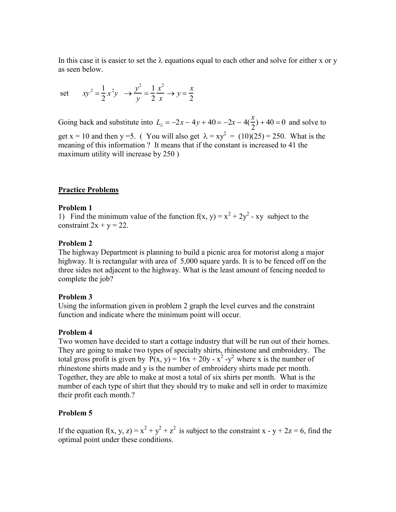In this case it is easier to set the  $\lambda$  equations equal to each other and solve for either x or y as seen below.

set  $xy^2 = \frac{1}{2}$ 2  $x^2y \rightarrow y^2$ *y*  $=\frac{1}{2}$ 2 *x* 2 *x*  $\rightarrow y = \frac{x}{2}$ 2

Going back and substitute into  $L_{\lambda} = -2x - 4y + 40 = -2x - 4(\frac{x}{2})$ 2  $)+40=0$  and solve to get x = 10 and then y =5. (You will also get  $\lambda = xy^2 = (10)(25) = 250$ . What is the meaning of this information ? It means that if the constant is increased to 41 the maximum utility will increase by 250)

### **Practice Problems**

#### **Problem 1**

1) Find the minimum value of the function  $f(x, y) = x^2 + 2y^2 - xy$  subject to the constraint  $2x + y = 22$ .

#### **Problem 2**

The highway Department is planning to build a picnic area for motorist along a major highway. It is rectangular with area of 5,000 square yards. It is to be fenced off on the three sides not adjacent to the highway. What is the least amount of fencing needed to complete the job?

#### **Problem 3**

Using the information given in problem 2 graph the level curves and the constraint function and indicate where the minimum point will occur.

#### **Problem 4**

Two women have decided to start a cottage industry that will be run out of their homes. They are going to make two types of specialty shirts, rhinestone and embroidery. The total gross profit is given by  $P(x, y) = 16x + 20y - x^2 - y^2$  where x is the number of rhinestone shirts made and y is the number of embroidery shirts made per month. Together, they are able to make at most a total of six shirts per month. What is the number of each type of shirt that they should try to make and sell in order to maximize their profit each month.?

#### **Problem 5**

If the equation  $f(x, y, z) = x^2 + y^2 + z^2$  is subject to the constraint x - y + 2z = 6, find the optimal point under these conditions.